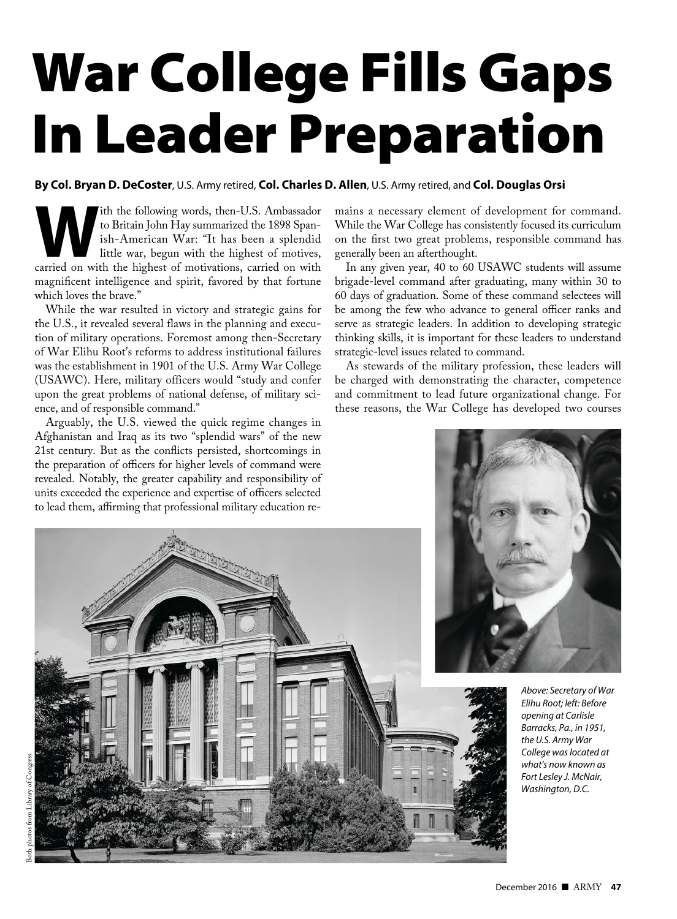# War College Fills Gaps In Leader Preparation

# **By Col. Bryan D. DeCoster** , U.S. Army retired, **Col. Charles D. Allen**, U.S. Army retired, and **Col. Douglas Orsi**

**We set that the following words, then-U.S. Ambassador** to Britain John Hay summarized the 1898 Spanish-American War: "It has been a splendid little war, begun with the highest of motives, carried on with the highest of mo to Britain John Hay summarized the 1898 Spanish-American War: "It has been a splendid little war, begun with the highest of motives, magnificent intelligence and spirit, favored by that fortune which loves the brave."

While the war resulted in victory and strategic gains for the U.S., it revealed several flaws in the planning and execution of military operations. Foremost among then-Secretary of War Elihu Root's reforms to address institutional failures was the establishment in 1901 of the U.S. Army War College (USAWC). Here, military officers would "study and confer upon the great problems of national defense, of military science, and of responsible command."

Arguably, the U.S. viewed the quick regime changes in Afghanistan and Iraq as its two "splendid wars" of the new 21st century. But as the conflicts persisted, shortcomings in the preparation of officers for higher levels of command were revealed. Notably, the greater capability and responsibility of units exceeded the experience and expertise of officers selected to lead them, affirming that professional military education remains a necessary element of development for command. While the War College has consistently focused its curriculum on the first two great problems, responsible command has generally been an afterthought.

In any given year, 40 to 60 USAWC students will assume brigade-level command after graduating, many within 30 to 60 days of graduation. Some of these command selectees will be among the few who advance to general officer ranks and serve as strategic leaders. In addition to developing strategic thinking skills, it is important for these leaders to understand strategic-level issues related to command.

As stewards of the military profession, these leaders will be charged with demonstrating the character, competence and commitment to lead future organizational change. For these reasons, the War College has developed two courses

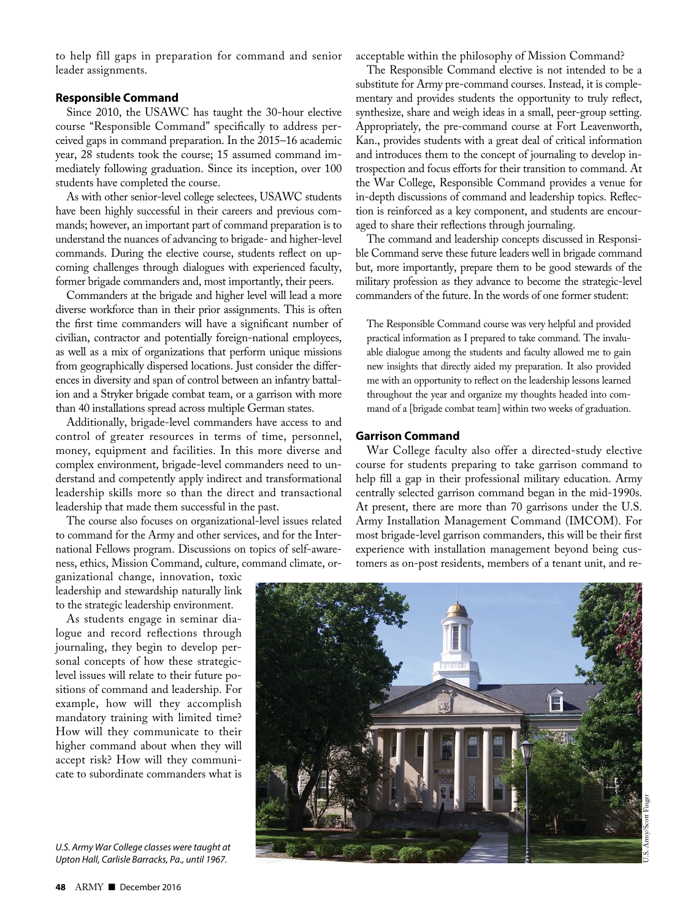to help fill gaps in preparation for command and senior leader assignments.

### **Responsible Command**

Since 2010, the USAWC has taught the 30-hour elective course "Responsible Command" specifically to address perceived gaps in command preparation. In the 2015–16 academic year, 28 students took the course; 15 assumed command immediately following graduation. Since its inception, over 100 students have completed the course.

As with other senior-level college selectees, USAWC students have been highly successful in their careers and previous commands; however, an important part of command preparation is to understand the nuances of advancing to brigade- and higher-level commands. During the elective course, students reflect on upcoming challenges through dialogues with experienced faculty, former brigade commanders and, most importantly, their peers.

Commanders at the brigade and higher level will lead a more diverse workforce than in their prior assignments. This is often the first time commanders will have a significant number of civilian, contractor and potentially foreign-national employees, as well as a mix of organizations that perform unique missions from geographically dispersed locations. Just consider the differences in diversity and span of control between an infantry battalion and a Stryker brigade combat team, or a garrison with more than 40 installations spread across multiple German states.

Additionally, brigade-level commanders have access to and control of greater resources in terms of time, personnel, money, equipment and facilities. In this more diverse and complex environment, brigade-level commanders need to understand and competently apply indirect and transformational leadership skills more so than the direct and transactional leadership that made them successful in the past.

The course also focuses on organizational-level issues related to command for the Army and other services, and for the International Fellows program. Discussions on topics of self-awareness, ethics, Mission Command, culture, command climate, or-

ganizational change, innovation, toxic leadership and stewardship naturally link to the strategic leadership environment.

As students engage in seminar dialogue and record reflections through journaling, they begin to develop personal concepts of how these strategiclevel issues will relate to their future positions of command and leadership. For example, how will they accomplish mandatory training with limited time? How will they communicate to their higher command about when they will accept risk? How will they communicate to subordinate commanders what is

*U.S. Army War College classes were taught at Upton Hall, Carlisle Barracks, Pa., until 1967.*

acceptable within the philosophy of Mission Command?

The Responsible Command elective is not intended to be a substitute for Army pre-command courses. Instead, it is complementary and provides students the opportunity to truly reflect, synthesize, share and weigh ideas in a small, peer-group setting. Appropriately, the pre-command course at Fort Leavenworth, Kan., provides students with a great deal of critical information and introduces them to the concept of journaling to develop introspection and focus efforts for their transition to command. At the War College, Responsible Command provides a venue for in-depth discussions of command and leadership topics. Reflection is reinforced as a key component, and students are encouraged to share their reflections through journaling.

The command and leadership concepts discussed in Responsible Command serve these future leaders well in brigade command but, more importantly, prepare them to be good stewards of the military profession as they advance to become the strategic-level commanders of the future. In the words of one former student:

The Responsible Command course was very helpful and provided practical information as I prepared to take command. The invaluable dialogue among the students and faculty allowed me to gain new insights that directly aided my preparation. It also provided me with an opportunity to reflect on the leadership lessons learned throughout the year and organize my thoughts headed into command of a [brigade combat team] within two weeks of graduation.

## **Garrison Command**

War College faculty also offer a directed-study elective course for students preparing to take garrison command to help fill a gap in their professional military education. Army centrally selected garrison command began in the mid-1990s. At present, there are more than 70 garrisons under the U.S. Army Installation Management Command (IMCOM). For most brigade-level garrison commanders, this will be their first experience with installation management beyond being customers as on-post residents, members of a tenant unit, and re-